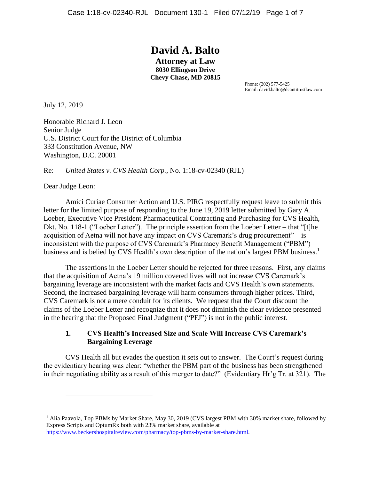# **David A. Balto**

**Attorney at Law 8030 Ellingson Drive Chevy Chase, MD 20815**

> Phone: (202) 577-5425 Email: david.balto@dcantitrustlaw.com

July 12, 2019

Honorable Richard J. Leon Senior Judge U.S. District Court for the District of Columbia 333 Constitution Avenue, NW Washington, D.C. 20001

Re: *United States v. CVS Health Corp.*, No. 1:18-cv-02340 (RJL)

Dear Judge Leon:

 $\overline{a}$ 

Amici Curiae Consumer Action and U.S. PIRG respectfully request leave to submit this letter for the limited purpose of responding to the June 19, 2019 letter submitted by Gary A. Loeber, Executive Vice President Pharmaceutical Contracting and Purchasing for CVS Health, Dkt. No. 118-1 ("Loeber Letter"). The principle assertion from the Loeber Letter – that "[t]he acquisition of Aetna will not have any impact on CVS Caremark's drug procurement" – is inconsistent with the purpose of CVS Caremark's Pharmacy Benefit Management ("PBM") business and is belied by CVS Health's own description of the nation's largest PBM business.<sup>1</sup>

The assertions in the Loeber Letter should be rejected for three reasons. First, any claims that the acquisition of Aetna's 19 million covered lives will not increase CVS Caremark's bargaining leverage are inconsistent with the market facts and CVS Health's own statements. Second, the increased bargaining leverage will harm consumers through higher prices. Third, CVS Caremark is not a mere conduit for its clients. We request that the Court discount the claims of the Loeber Letter and recognize that it does not diminish the clear evidence presented in the hearing that the Proposed Final Judgment ("PFJ") is not in the public interest.

## **1. CVS Health's Increased Size and Scale Will Increase CVS Caremark's Bargaining Leverage**

CVS Health all but evades the question it sets out to answer. The Court's request during the evidentiary hearing was clear: "whether the PBM part of the business has been strengthened in their negotiating ability as a result of this merger to date?" (Evidentiary Hr'g Tr. at 321). The

<sup>&</sup>lt;sup>1</sup> Alia Paavola, Top PBMs by Market Share, May 30, 2019 (CVS largest PBM with 30% market share, followed by Express Scripts and OptumRx both with 23% market share, available at [https://www.beckershospitalreview.com/pharmacy/top-pbms-by-market-share.html.](https://www.beckershospitalreview.com/pharmacy/top-pbms-by-market-share.html)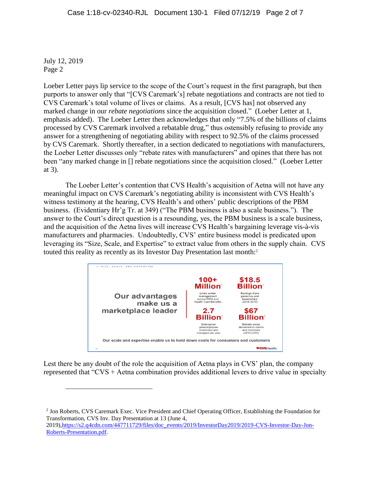$\overline{a}$ 

Loeber Letter pays lip service to the scope of the Court's request in the first paragraph, but then purports to answer only that "[CVS Caremark's] rebate negotiations and contracts are not tied to CVS Caremark's total volume of lives or claims. As a result, [CVS has] not observed any marked change in our *rebate negotiations* since the acquisition closed." (Loeber Letter at 1, emphasis added). The Loeber Letter then acknowledges that only "7.5% of the billions of claims processed by CVS Caremark involved a rebatable drug," thus ostensibly refusing to provide any answer for a strengthening of negotiating ability with respect to 92.5% of the claims processed by CVS Caremark. Shortly thereafter, in a section dedicated to negotiations with manufacturers, the Loeber Letter discusses only "rebate rates with manufacturers" and opines that there has not been "any marked change in [] rebate negotiations since the acquisition closed." (Loeber Letter at 3).

The Loeber Letter's contention that CVS Health's acquisition of Aetna will not have any meaningful impact on CVS Caremark's negotiating ability is inconsistent with CVS Health's witness testimony at the hearing, CVS Health's and others' public descriptions of the PBM business. (Evidentiary Hr'g Tr. at 349) ("The PBM business is also a scale business."). The answer to the Court's direct question is a resounding, yes, the PBM business is a scale business, and the acquisition of the Aetna lives will increase CVS Health's bargaining leverage vis-à-vis manufacturers and pharmacies. Undoubtedly, CVS' entire business model is predicated upon leveraging its "Size, Scale, and Expertise" to extract value from others in the supply chain. CVS touted this reality as recently as its Investor Day Presentation last month:<sup>2</sup>



Lest there be any doubt of the role the acquisition of Aetna plays in CVS' plan, the company represented that "CVS + Aetna combination provides additional levers to drive value in specialty

2 Jon Roberts, CVS Caremark Exec. Vice President and Chief Operating Officer, Establishing the Foundation for Transformation, CVS Inv. Day Presentation at 13 (June 4, 2019)[,https://s2.q4cdn.com/447711729/files/doc\\_events/2019/InvestorDay2019/2019-CVS-Investor-Day-Jon-](https://s2.q4cdn.com/447711729/files/doc_events/2019/InvestorDay2019/2019-CVS-Investor-Day-Jon-Roberts-Presentation.pdf)[Roberts-Presentation.pdf.](https://s2.q4cdn.com/447711729/files/doc_events/2019/InvestorDay2019/2019-CVS-Investor-Day-Jon-Roberts-Presentation.pdf)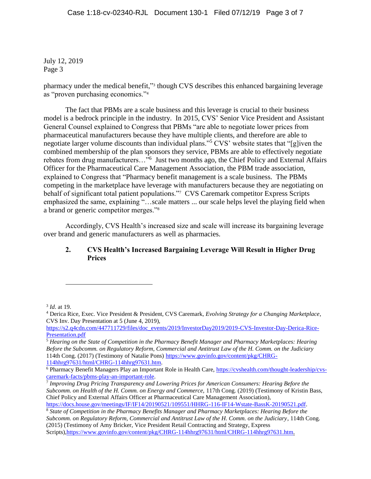pharmacy under the medical benefit,"<sup>3</sup> though CVS describes this enhanced bargaining leverage as "proven purchasing economics."<sup>4</sup>

The fact that PBMs are a scale business and this leverage is crucial to their business model is a bedrock principle in the industry. In 2015, CVS' Senior Vice President and Assistant General Counsel explained to Congress that PBMs "are able to negotiate lower prices from pharmaceutical manufacturers because they have multiple clients, and therefore are able to negotiate larger volume discounts than individual plans."<sup>5</sup> CVS' website states that "[g]iven the combined membership of the plan sponsors they service, PBMs are able to effectively negotiate rebates from drug manufacturers..."<sup>6</sup> Just two months ago, the Chief Policy and External Affairs Officer for the Pharmaceutical Care Management Association, the PBM trade association, explained to Congress that "Pharmacy benefit management is a scale business. The PBMs competing in the marketplace have leverage with manufacturers because they are negotiating on behalf of significant total patient populations."<sup>7</sup> CVS Caremark competitor Express Scripts emphasized the same, explaining "…scale matters ... our scale helps level the playing field when a brand or generic competitor merges."<sup>8</sup>

Accordingly, CVS Health's increased size and scale will increase its bargaining leverage over brand and generic manufacturers as well as pharmacies.

# **2. CVS Health's Increased Bargaining Leverage Will Result in Higher Drug Prices**

3 *Id*. at 19.

 $\overline{a}$ 

<sup>4</sup> Derica Rice, Exec. Vice President & President, CVS Caremark, *Evolving Strategy for a Changing Marketplace*, CVS Inv. Day Presentation at 5 (June 4, 2019),

[https://s2.q4cdn.com/447711729/files/doc\\_events/2019/InvestorDay2019/2019-CVS-Investor-Day-Derica-Rice-](https://s2.q4cdn.com/447711729/files/doc_events/2019/InvestorDay2019/2019-CVS-Investor-Day-Derica-Rice-Presentation.pdf)[Presentation.pdf](https://s2.q4cdn.com/447711729/files/doc_events/2019/InvestorDay2019/2019-CVS-Investor-Day-Derica-Rice-Presentation.pdf)

<sup>5</sup> *Hearing on the State of Competition in the Pharmacy Benefit Manager and Pharmacy Marketplaces: Hearing Before the Subcomm. on Regulatory Reform, Commercial and Antitrust Law of the H. Comm. on the Judiciary* 114th Cong. (2017) (Testimony of Natalie Pons) [https://www.govinfo.gov/content/pkg/CHRG-](https://www.govinfo.gov/content/pkg/CHRG-114hhrg97631/html/CHRG-114hhrg97631.htm)

[<sup>114</sup>hhrg97631/html/CHRG-114hhrg97631.htm.](https://www.govinfo.gov/content/pkg/CHRG-114hhrg97631/html/CHRG-114hhrg97631.htm)

<sup>6</sup> Pharmacy Benefit Managers Play an Important Role in Health Care, [https://cvshealth.com/thought-leadership/cvs](https://cvshealth.com/thought-leadership/cvs-caremark-facts/pbms-play-an-important-role)[caremark-facts/pbms-play-an-important-role.](https://cvshealth.com/thought-leadership/cvs-caremark-facts/pbms-play-an-important-role)

<sup>7</sup> *Improving Drug Pricing Transparency and Lowering Prices for American Consumers: Hearing Before the Subcomm. on Health of the H. Comm. on Energy and Commerce,* 117th Cong. (2019) (Testimony of Kristin Bass, Chief Policy and External Affairs Officer at Pharmaceutical Care Management Association), [https://docs.house.gov/meetings/IF/IF14/20190521/109551/HHRG-116-IF14-Wstate-BassK-20190521.pdf.](https://docs.house.gov/meetings/IF/IF14/20190521/109551/HHRG-116-IF14-Wstate-BassK-20190521.pdf)

<sup>8</sup> *State of Competition in the Pharmacy Benefits Manager and Pharmacy Marketplaces: Hearing Before the* 

*Subcomm. on Regulatory Reform, Commercial and Antitrust Law of the H. Comm. on the Judiciary*, 114th Cong. (2015) (Testimony of Amy Bricker, Vice President Retail Contracting and Strategy, Express Scripts)[,https://www.govinfo.gov/content/pkg/CHRG-114hhrg97631/html/CHRG-114hhrg97631.htm.](https://www.govinfo.gov/content/pkg/CHRG-114hhrg97631/html/CHRG-114hhrg97631.htm)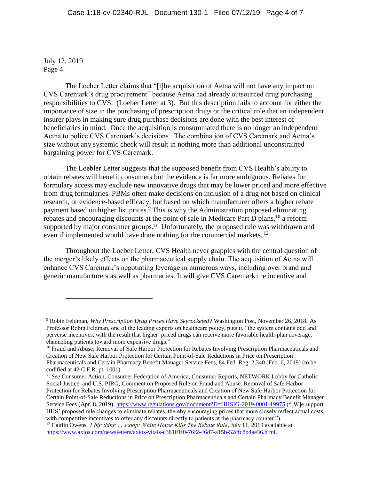$\overline{a}$ 

The Loeber Letter claims that "[t]he acquisition of Aetna will not have any impact on CVS Caremark's drug procurement" because Aetna had already outsourced drug purchasing responsibilities to CVS. (Loeber Letter at 3). But this description fails to account for either the importance of size in the purchasing of prescription drugs or the critical role that an independent insurer plays in making sure drug purchase decisions are done with the best interest of beneficiaries in mind. Once the acquisition is consummated there is no longer an independent Aetna to police CVS Caremark's decisions. The combination of CVS Caremark and Aetna's size without any systemic check will result in nothing more than additional unconstrained bargaining power for CVS Caremark.

The Loebler Letter suggests that the supposed benefit from CVS Health's ability to obtain rebates will benefit consumers but the evidence is far more ambiguous. Rebates for formulary access may exclude new innovative drugs that may be lower priced and more effective from drug formularies. PBMs often make decisions on inclusion of a drug not based on clinical research, or evidence-based efficacy, but based on which manufacturer offers a higher rebate payment based on higher list prices. <sup>9</sup> This is why the Administration proposed eliminating rebates and encouraging discounts at the point of sale in Medicare Part D plans, <sup>10</sup> a reform supported by major consumer groups.<sup>11</sup> Unfortunately, the proposed rule was withdrawn and even if implemented would have done nothing for the commercial markets.<sup>12</sup>

Throughout the Loeber Letter, CVS Health never grapples with the central question of the merger's likely effects on the pharmaceutical supply chain. The acquisition of Aetna will enhance CVS Caremark's negotiating leverage in numerous ways, including over brand and generic manufacturers as well as pharmacies. It will give CVS Caremark the incentive and

<sup>11</sup> *See* Consumer Action, Consumer Federation of America, Consumer Reports, NETWORK Lobby for Catholic Social Justice, and U.S. PIRG, Comment on Proposed Rule on Fraud and Abuse: Removal of Safe Harbor Protection for Rebates Involving Prescription Pharmaceuticals and Creation of New Safe Harbor Protection for

Certain Point-of-Sale Reductions in Price on Prescription Pharmaceuticals and Certain Pharmacy Benefit Manager Service Fees (Apr. 8, 2019),<https://www.regulations.gov/document?D=HHSIG-2019-0001-19975> ("[W]e support HHS' proposed rule changes to eliminate rebates, thereby encouraging prices that more closely reflect actual costs, with competitive incentives to offer any discounts directly to patients at the pharmacy counter.").

<sup>9</sup> Robin Feldman, *Why Prescription Drug Prices Have Skyrocketed?* Washington Post, November 26, 2018. As Professor Robin Feldman, one of the leading experts on healthcare policy, puts it, "the system contains odd and perverse incentives, with the result that higher*–*priced drugs can receive more favorable health-plan coverage, channeling patients toward more expensive drugs."

<sup>&</sup>lt;sup>10</sup> Fraud and Abuse; Removal of Safe Harbor Protection for Rebates Involving Prescription Pharmaceuticals and Creation of New Safe Harbor Protection for Certain Point-of-Sale Reductions in Price on Prescription Pharmaceuticals and Certain Pharmacy Benefit Manager Service Fees, 84 Fed. Reg. 2,340 (Feb. 6, 2019) (to be codified at 42 C.F.R. pt. 1001).

<sup>&</sup>lt;sup>12</sup> Caitlin Owens, *1 big thing ... scoop: White House Kills The Rebate Rule*, July 11, 2019 available at [https://www.axios.com/newsletters/axios-vitals-c38101f0-76f2-46d7-a15b-52cfc8b4ae36.html.](https://www.axios.com/newsletters/axios-vitals-c38101f0-76f2-46d7-a15b-52cfc8b4ae36.html)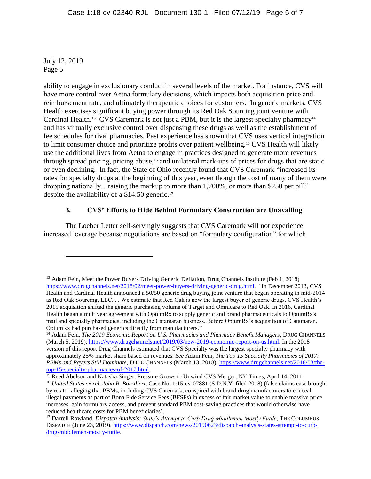$\overline{a}$ 

ability to engage in exclusionary conduct in several levels of the market. For instance, CVS will have more control over Aetna formulary decisions, which impacts both acquisition price and reimbursement rate, and ultimately therapeutic choices for customers. In generic markets, CVS Health exercises significant buying power through its Red Oak Sourcing joint venture with Cardinal Health.<sup>13</sup> CVS Caremark is not just a PBM, but it is the largest specialty pharmacy<sup>14</sup> and has virtually exclusive control over dispensing these drugs as well as the establishment of fee schedules for rival pharmacies. Past experience has shown that CVS uses vertical integration to limit consumer choice and prioritize profits over patient wellbeing.<sup>15</sup> CVS Health will likely use the additional lives from Aetna to engage in practices designed to generate more revenues through spread pricing, pricing abuse,<sup>16</sup> and unilateral mark-ups of prices for drugs that are static or even declining. In fact, the State of Ohio recently found that CVS Caremark "increased its rates for specialty drugs at the beginning of this year, even though the cost of many of them were dropping nationally…raising the markup to more than 1,700%, or more than \$250 per pill" despite the availability of a \$14.50 generic.<sup>17</sup>

### **3. CVS' Efforts to Hide Behind Formulary Construction are Unavailing**

The Loeber Letter self-servingly suggests that CVS Caremark will not experience increased leverage because negotiations are based on "formulary configuration" for which

<sup>&</sup>lt;sup>13</sup> Adam Fein, Meet the Power Buyers Driving Generic Deflation, Drug Channels Institute (Feb 1, 2018) [https://www.drugchannels.net/2018/02/meet-power-buyers-driving-generic-drug.html.](https://www.drugchannels.net/2018/02/meet-power-buyers-driving-generic-drug.html) "In December 2013, CVS Health and Cardinal Health announced a 50/50 generic drug buying joint venture that began operating in mid-2014 as Red Oak Sourcing, LLC. . . We estimate that Red Oak is now the largest buyer of generic drugs. CVS Health's 2015 acquisition shifted the generic purchasing volume of Target and Omnicare to Red Oak. In 2016, Cardinal Health began a multiyear agreement with OptumRx to supply generic and brand pharmaceuticals to OptumRx's mail and specialty pharmacies, including the Catamaran business. Before OptumRx's acquisition of Catamaran, OptumRx had purchased generics directly from manufacturers."

<sup>&</sup>lt;sup>14</sup> Adam Fein, *The 2019 Economic Report on U.S. Pharmacies and Pharmacy Benefit Managers*, DRUG CHANNELS (March 5, 2019)[, https://www.drugchannels.net/2019/03/new-2019-economic-report-on-us.html.](https://www.drugchannels.net/2019/03/new-2019-economic-report-on-us.html) In the 2018 version of this report Drug Channels estimated that CVS Specialty was the largest specialty pharmacy with approximately 25% market share based on revenues. *See* Adam Fein, *The Top 15 Specialty Pharmacies of 2017: PBMs and Payers Still Dominate*, DRUG CHANNELS (March 13, 2018), [https://www.drugchannels.net/2018/03/the](https://www.drugchannels.net/2018/03/the-top-15-specialty-pharmacies-of-2017.html)[top-15-specialty-pharmacies-of-2017.html.](https://www.drugchannels.net/2018/03/the-top-15-specialty-pharmacies-of-2017.html)

<sup>&</sup>lt;sup>15</sup> Reed Abelson and Natasha Singer, Pressure Grows to Unwind CVS Merger, NY Times, April 14, 2011.

<sup>16</sup> *United States ex rel. John R. Borzilleri*, Case No. 1:15-cv-07881 (S.D.N.Y. filed 2018) (false claims case brought by relator alleging that PBMs, including CVS Caremark, conspired with brand drug manufacturers to conceal illegal payments as part of Bona Fide Service Fees (BFSFs) in excess of fair market value to enable massive price increases, gain formulary access, and prevent standard PBM cost-saving practices that would otherwise have reduced healthcare costs for PBM beneficiaries).

<sup>17</sup> Darrell Rowland, *Dispatch Analysis: State's Attempt to Curb Drug Middlemen Mostly Futile*, THE COLUMBUS DISPATCH (June 23, 2019), [https://www.dispatch.com/news/20190623/dispatch-analysis-states-attempt-to-curb](https://www.dispatch.com/news/20190623/dispatch-analysis-states-attempt-to-curb-drug-middlemen-mostly-futile)[drug-middlemen-mostly-futile.](https://www.dispatch.com/news/20190623/dispatch-analysis-states-attempt-to-curb-drug-middlemen-mostly-futile)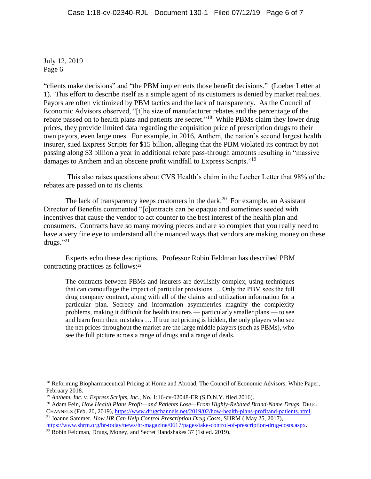$\overline{a}$ 

"clients make decisions" and "the PBM implements those benefit decisions." (Loeber Letter at 1). This effort to describe itself as a simple agent of its customers is denied by market realities. Payors are often victimized by PBM tactics and the lack of transparency. As the Council of Economic Advisors observed, "[t]he size of manufacturer rebates and the percentage of the rebate passed on to health plans and patients are secret."<sup>18</sup> While PBMs claim they lower drug prices, they provide limited data regarding the acquisition price of prescription drugs to their own payors, even large ones. For example, in 2016, Anthem, the nation's second largest health insurer, sued Express Scripts for \$15 billion, alleging that the PBM violated its contract by not passing along \$3 billion a year in additional rebate pass-through amounts resulting in "massive damages to Anthem and an obscene profit windfall to Express Scripts."<sup>19</sup>

This also raises questions about CVS Health's claim in the Loeber Letter that 98% of the rebates are passed on to its clients.

The lack of transparency keeps customers in the dark.<sup>20</sup> For example, an Assistant Director of Benefits commented "[c]ontracts can be opaque and sometimes seeded with incentives that cause the vendor to act counter to the best interest of the health plan and consumers. Contracts have so many moving pieces and are so complex that you really need to have a very fine eye to understand all the nuanced ways that vendors are making money on these drugs." $^{21}$ 

Experts echo these descriptions. Professor Robin Feldman has described PBM contracting practices as follows:<sup>22</sup>

The contracts between PBMs and insurers are devilishly complex, using techniques that can camouflage the impact of particular provisions … Only the PBM sees the full drug company contract, along with all of the claims and utilization information for a particular plan. Secrecy and information asymmetries magnify the complexity problems, making it difficult for health insurers — particularly smaller plans — to see and learn from their mistakes … If true net pricing is hidden, the only players who see the net prices throughout the market are the large middle players (such as PBMs), who see the full picture across a range of drugs and a range of deals.

<sup>&</sup>lt;sup>18</sup> Reforming Biopharmaceutical Pricing at Home and Abroad, The Council of Economic Advisors, White Paper, February 2018.

<sup>19</sup> *Anthem, Inc. v. Express Scripts, Inc.*, No. 1:16-cv-02048-ER (S.D.N.Y. filed 2016).

<sup>&</sup>lt;sup>20</sup> Adam Fein, *How Health Plans Profit—and Patients Lose—From Highly-Rebated Brand-Name Drugs*, DRUG CHANNELS (Feb. 20, 2019), [https://www.drugchannels.net/2019/02/how-health-plans-profitand-patients.html.](https://www.drugchannels.net/2019/02/how-health-plans-profitand-patients.html)

<sup>21</sup> Joanne Sammer, *How HR Can Help Control Prescription Drug Costs*, SHRM ( May 25, 2017), [https://www.shrm.org/hr-today/news/hr-magazine/0617/pages/take-control-of-prescription-drug-costs.aspx.](https://www.shrm.org/hr-today/news/hr-magazine/0617/pages/take-control-of-prescription-drug-costs.aspx)

<sup>&</sup>lt;sup>22</sup> Robin Feldman, Drugs, Money, and Secret Handshakes 37 (1st ed. 2019).